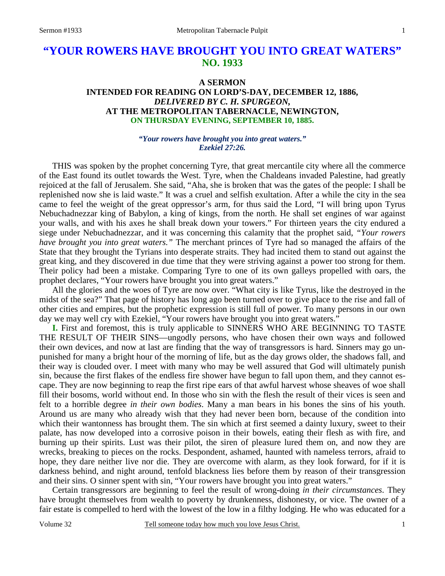# **"YOUR ROWERS HAVE BROUGHT YOU INTO GREAT WATERS" NO. 1933**

## **A SERMON INTENDED FOR READING ON LORD'S-DAY, DECEMBER 12, 1886,**  *DELIVERED BY C. H. SPURGEON,*  **AT THE METROPOLITAN TABERNACLE, NEWINGTON, ON THURSDAY EVENING, SEPTEMBER 10, 1885.**

#### *"Your rowers have brought you into great waters." Ezekiel 27:26.*

THIS was spoken by the prophet concerning Tyre, that great mercantile city where all the commerce of the East found its outlet towards the West. Tyre, when the Chaldeans invaded Palestine, had greatly rejoiced at the fall of Jerusalem. She said, "Aha, she is broken that was the gates of the people: I shall be replenished now she is laid waste." It was a cruel and selfish exultation. After a while the city in the sea came to feel the weight of the great oppressor's arm, for thus said the Lord, "I will bring upon Tyrus Nebuchadnezzar king of Babylon, a king of kings, from the north. He shall set engines of war against your walls, and with his axes he shall break down your towers." For thirteen years the city endured a siege under Nebuchadnezzar, and it was concerning this calamity that the prophet said, *"Your rowers have brought you into great waters."* The merchant princes of Tyre had so managed the affairs of the State that they brought the Tyrians into desperate straits. They had incited them to stand out against the great king, and they discovered in due time that they were striving against a power too strong for them. Their policy had been a mistake. Comparing Tyre to one of its own galleys propelled with oars, the prophet declares, "Your rowers have brought you into great waters."

All the glories and the woes of Tyre are now over. "What city is like Tyrus, like the destroyed in the midst of the sea?" That page of history has long ago been turned over to give place to the rise and fall of other cities and empires, but the prophetic expression is still full of power. To many persons in our own day we may well cry with Ezekiel, "Your rowers have brought you into great waters."

**I.** First and foremost, this is truly applicable to SINNERS WHO ARE BEGINNING TO TASTE THE RESULT OF THEIR SINS—ungodly persons, who have chosen their own ways and followed their own devices, and now at last are finding that the way of transgressors is hard. Sinners may go unpunished for many a bright hour of the morning of life, but as the day grows older, the shadows fall, and their way is clouded over. I meet with many who may be well assured that God will ultimately punish sin, because the first flakes of the endless fire shower have begun to fall upon them, and they cannot escape. They are now beginning to reap the first ripe ears of that awful harvest whose sheaves of woe shall fill their bosoms, world without end. In those who sin with the flesh the result of their vices is seen and felt to a horrible degree *in their own bodies*. Many a man bears in his bones the sins of his youth. Around us are many who already wish that they had never been born, because of the condition into which their wantonness has brought them. The sin which at first seemed a dainty luxury, sweet to their palate, has now developed into a corrosive poison in their bowels, eating their flesh as with fire, and burning up their spirits. Lust was their pilot, the siren of pleasure lured them on, and now they are wrecks, breaking to pieces on the rocks. Despondent, ashamed, haunted with nameless terrors, afraid to hope, they dare neither live nor die. They are overcome with alarm, as they look forward, for if it is darkness behind, and night around, tenfold blackness lies before them by reason of their transgression and their sins. O sinner spent with sin, "Your rowers have brought you into great waters."

 Certain transgressors are beginning to feel the result of wrong-doing *in their circumstances*. They have brought themselves from wealth to poverty by drunkenness, dishonesty, or vice. The owner of a fair estate is compelled to herd with the lowest of the low in a filthy lodging. He who was educated for a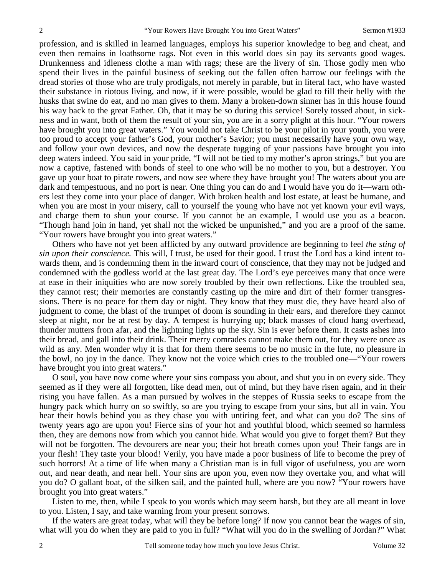profession, and is skilled in learned languages, employs his superior knowledge to beg and cheat, and even then remains in loathsome rags. Not even in this world does sin pay its servants good wages. Drunkenness and idleness clothe a man with rags; these are the livery of sin. Those godly men who spend their lives in the painful business of seeking out the fallen often harrow our feelings with the dread stories of those who are truly prodigals, not merely in parable, but in literal fact, who have wasted their substance in riotous living, and now, if it were possible, would be glad to fill their belly with the husks that swine do eat, and no man gives to them. Many a broken-down sinner has in this house found his way back to the great Father. Oh, that it may be so during this service! Sorely tossed about, in sickness and in want, both of them the result of your sin, you are in a sorry plight at this hour. "Your rowers have brought you into great waters." You would not take Christ to be your pilot in your youth, you were too proud to accept your father's God, your mother's Savior; you must necessarily have your own way, and follow your own devices, and now the desperate tugging of your passions have brought you into deep waters indeed. You said in your pride, "I will not be tied to my mother's apron strings," but you are now a captive, fastened with bonds of steel to one who will be no mother to you, but a destroyer. You gave up your boat to pirate rowers, and now see where they have brought you! The waters about you are dark and tempestuous, and no port is near. One thing you can do and I would have you do it—warn others lest they come into your place of danger. With broken health and lost estate, at least be humane, and when you are most in your misery, call to yourself the young who have not yet known your evil ways, and charge them to shun your course. If you cannot be an example, I would use you as a beacon. "Though hand join in hand, yet shall not the wicked be unpunished," and you are a proof of the same. "Your rowers have brought you into great waters."

 Others who have not yet been afflicted by any outward providence are beginning to feel *the sting of sin upon their conscience.* This will, I trust, be used for their good. I trust the Lord has a kind intent towards them, and is condemning them in the inward court of conscience, that they may not be judged and condemned with the godless world at the last great day. The Lord's eye perceives many that once were at ease in their iniquities who are now sorely troubled by their own reflections. Like the troubled sea, they cannot rest; their memories are constantly casting up the mire and dirt of their former transgressions. There is no peace for them day or night. They know that they must die, they have heard also of judgment to come, the blast of the trumpet of doom is sounding in their ears, and therefore they cannot sleep at night, nor be at rest by day. A tempest is hurrying up; black masses of cloud hang overhead, thunder mutters from afar, and the lightning lights up the sky. Sin is ever before them. It casts ashes into their bread, and gall into their drink. Their merry comrades cannot make them out, for they were once as wild as any. Men wonder why it is that for them there seems to be no music in the lute, no pleasure in the bowl, no joy in the dance. They know not the voice which cries to the troubled one—"Your rowers have brought you into great waters."

 O soul, you have now come where your sins compass you about, and shut you in on every side. They seemed as if they were all forgotten, like dead men, out of mind, but they have risen again, and in their rising you have fallen. As a man pursued by wolves in the steppes of Russia seeks to escape from the hungry pack which hurry on so swiftly, so are you trying to escape from your sins, but all in vain. You hear their howls behind you as they chase you with untiring feet, and what can you do? The sins of twenty years ago are upon you! Fierce sins of your hot and youthful blood, which seemed so harmless then, they are demons now from which you cannot hide. What would you give to forget them? But they will not be forgotten. The devourers are near you; their hot breath comes upon you! Their fangs are in your flesh! They taste your blood! Verily, you have made a poor business of life to become the prey of such horrors! At a time of life when many a Christian man is in full vigor of usefulness, you are worn out, and near death, and near hell. Your sins are upon you, even now they overtake you, and what will you do? O gallant boat, of the silken sail, and the painted hull, where are you now? "Your rowers have brought you into great waters."

 Listen to me, then, while I speak to you words which may seem harsh, but they are all meant in love to you. Listen, I say, and take warning from your present sorrows.

 If the waters are great today, what will they be before long? If now you cannot bear the wages of sin, what will you do when they are paid to you in full? "What will you do in the swelling of Jordan?" What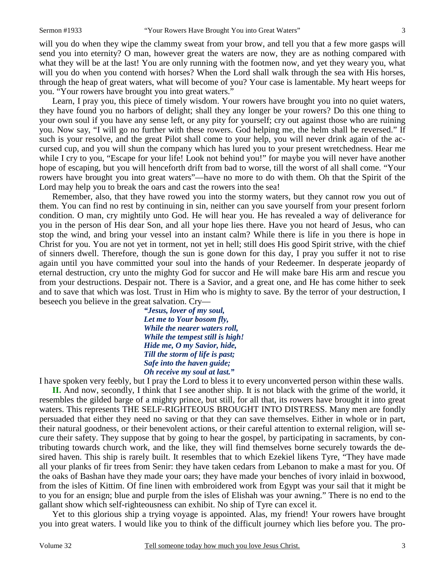will you do when they wipe the clammy sweat from your brow, and tell you that a few more gasps will send you into eternity? O man, however great the waters are now, they are as nothing compared with what they will be at the last! You are only running with the footmen now, and yet they weary you, what will you do when you contend with horses? When the Lord shall walk through the sea with His horses, through the heap of great waters, what will become of you? Your case is lamentable. My heart weeps for you. "Your rowers have brought you into great waters."

 Learn, I pray you, this piece of timely wisdom. Your rowers have brought you into no quiet waters, they have found you no harbors of delight; shall they any longer be your rowers? Do this one thing to your own soul if you have any sense left, or any pity for yourself; cry out against those who are ruining you. Now say, "I will go no further with these rowers. God helping me, the helm shall be reversed." If such is your resolve, and the great Pilot shall come to your help, you will never drink again of the accursed cup, and you will shun the company which has lured you to your present wretchedness. Hear me while I cry to you, "Escape for your life! Look not behind you!" for maybe you will never have another hope of escaping, but you will henceforth drift from bad to worse, till the worst of all shall come. "Your rowers have brought you into great waters"—have no more to do with them. Oh that the Spirit of the Lord may help you to break the oars and cast the rowers into the sea!

 Remember, also, that they have rowed you into the stormy waters, but they cannot row you out of them. You can find no rest by continuing in sin, neither can you save yourself from your present forlorn condition. O man, cry mightily unto God. He will hear you. He has revealed a way of deliverance for you in the person of His dear Son, and all your hope lies there. Have you not heard of Jesus, who can stop the wind, and bring your vessel into an instant calm? While there is life in you there is hope in Christ for you. You are not yet in torment, not yet in hell; still does His good Spirit strive, with the chief of sinners dwell. Therefore, though the sun is gone down for this day, I pray you suffer it not to rise again until you have committed your soul into the hands of your Redeemer. In desperate jeopardy of eternal destruction, cry unto the mighty God for succor and He will make bare His arm and rescue you from your destructions. Despair not. There is a Savior, and a great one, and He has come hither to seek and to save that which was lost. Trust in Him who is mighty to save. By the terror of your destruction, I beseech you believe in the great salvation. Cry—

> *"Jesus, lover of my soul, Let me to Your bosom fly, While the nearer waters roll, While the tempest still is high! Hide me, O my Savior, hide, Till the storm of life is past; Safe into the haven guide; Oh receive my soul at last."*

I have spoken very feebly, but I pray the Lord to bless it to every unconverted person within these walls.

**II.** And now, secondly, I think that I see another ship. It is not black with the grime of the world, it resembles the gilded barge of a mighty prince, but still, for all that, its rowers have brought it into great waters. This represents THE SELF-RIGHTEOUS BROUGHT INTO DISTRESS. Many men are fondly persuaded that either they need no saving or that they can save themselves. Either in whole or in part, their natural goodness, or their benevolent actions, or their careful attention to external religion, will secure their safety. They suppose that by going to hear the gospel, by participating in sacraments, by contributing towards church work, and the like, they will find themselves borne securely towards the desired haven. This ship is rarely built. It resembles that to which Ezekiel likens Tyre, "They have made all your planks of fir trees from Senir: they have taken cedars from Lebanon to make a mast for you. Of the oaks of Bashan have they made your oars; they have made your benches of ivory inlaid in boxwood, from the isles of Kittim. Of fine linen with embroidered work from Egypt was your sail that it might be to you for an ensign; blue and purple from the isles of Elishah was your awning." There is no end to the gallant show which self-righteousness can exhibit. No ship of Tyre can excel it.

 Yet to this glorious ship a trying voyage is appointed. Alas, my friend! Your rowers have brought you into great waters. I would like you to think of the difficult journey which lies before you. The pro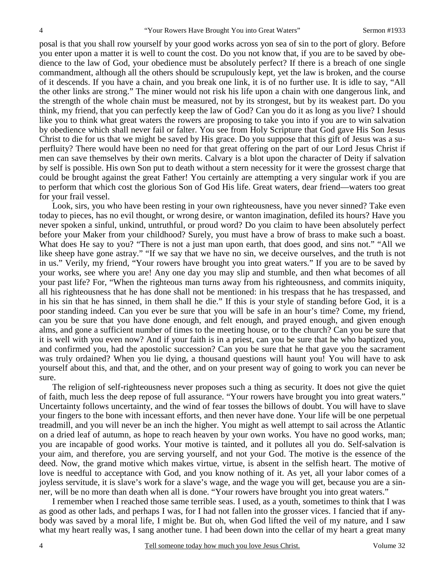posal is that you shall row yourself by your good works across yon sea of sin to the port of glory. Before you enter upon a matter it is well to count the cost. Do you not know that, if you are to be saved by obedience to the law of God, your obedience must be absolutely perfect? If there is a breach of one single commandment, although all the others should be scrupulously kept, yet the law is broken, and the course of it descends. If you have a chain, and you break one link, it is of no further use. It is idle to say, "All the other links are strong." The miner would not risk his life upon a chain with one dangerous link, and the strength of the whole chain must be measured, not by its strongest, but by its weakest part. Do you think, my friend, that you can perfectly keep the law of God? Can you do it as long as you live? I should like you to think what great waters the rowers are proposing to take you into if you are to win salvation by obedience which shall never fail or falter. You see from Holy Scripture that God gave His Son Jesus Christ to die for us that we might be saved by His grace. Do you suppose that this gift of Jesus was a superfluity? There would have been no need for that great offering on the part of our Lord Jesus Christ if men can save themselves by their own merits. Calvary is a blot upon the character of Deity if salvation by self is possible. His own Son put to death without a stern necessity for it were the grossest charge that could be brought against the great Father! You certainly are attempting a very singular work if you are to perform that which cost the glorious Son of God His life. Great waters, dear friend—waters too great for your frail vessel.

 Look, sirs, you who have been resting in your own righteousness, have you never sinned? Take even today to pieces, has no evil thought, or wrong desire, or wanton imagination, defiled its hours? Have you never spoken a sinful, unkind, untruthful, or proud word? Do you claim to have been absolutely perfect before your Maker from your childhood? Surely, you must have a brow of brass to make such a boast. What does He say to you? "There is not a just man upon earth, that does good, and sins not." "All we like sheep have gone astray." "If we say that we have no sin, we deceive ourselves, and the truth is not in us." Verily, my friend, "Your rowers have brought you into great waters." If you are to be saved by your works, see where you are! Any one day you may slip and stumble, and then what becomes of all your past life? For, "When the righteous man turns away from his righteousness, and commits iniquity, all his righteousness that he has done shall not be mentioned: in his trespass that he has trespassed, and in his sin that he has sinned, in them shall he die." If this is your style of standing before God, it is a poor standing indeed. Can you ever be sure that you will be safe in an hour's time? Come, my friend, can you be sure that you have done enough, and felt enough, and prayed enough, and given enough alms, and gone a sufficient number of times to the meeting house, or to the church? Can you be sure that it is well with you even now? And if your faith is in a priest, can you be sure that he who baptized you, and confirmed you, had the apostolic succession? Can you be sure that he that gave you the sacrament was truly ordained? When you lie dying, a thousand questions will haunt you! You will have to ask yourself about this, and that, and the other, and on your present way of going to work you can never be sure.

 The religion of self-righteousness never proposes such a thing as security. It does not give the quiet of faith, much less the deep repose of full assurance. "Your rowers have brought you into great waters." Uncertainty follows uncertainty, and the wind of fear tosses the billows of doubt. You will have to slave your fingers to the bone with incessant efforts, and then never have done. Your life will be one perpetual treadmill, and you will never be an inch the higher. You might as well attempt to sail across the Atlantic on a dried leaf of autumn, as hope to reach heaven by your own works. You have no good works, man; you are incapable of good works. Your motive is tainted, and it pollutes all you do. Self-salvation is your aim, and therefore, you are serving yourself, and not your God. The motive is the essence of the deed. Now, the grand motive which makes virtue, virtue, is absent in the selfish heart. The motive of love is needful to acceptance with God, and you know nothing of it. As yet, all your labor comes of a joyless servitude, it is slave's work for a slave's wage, and the wage you will get, because you are a sinner, will be no more than death when all is done. "Your rowers have brought you into great waters."

 I remember when I reached those same terrible seas. I used, as a youth, sometimes to think that I was as good as other lads, and perhaps I was, for I had not fallen into the grosser vices. I fancied that if anybody was saved by a moral life, I might be. But oh, when God lifted the veil of my nature, and I saw what my heart really was, I sang another tune. I had been down into the cellar of my heart a great many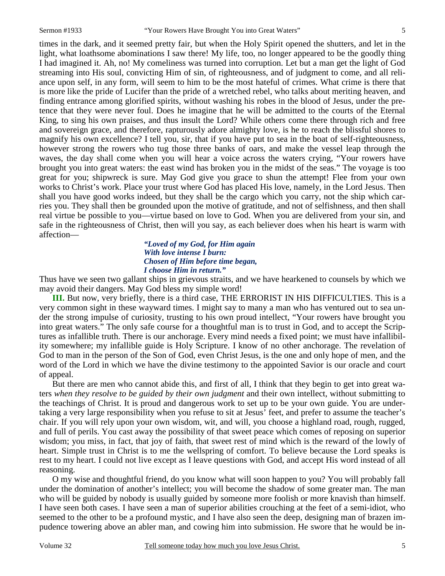times in the dark, and it seemed pretty fair, but when the Holy Spirit opened the shutters, and let in the light, what loathsome abominations I saw there! My life, too, no longer appeared to be the goodly thing I had imagined it. Ah, no! My comeliness was turned into corruption. Let but a man get the light of God streaming into His soul, convicting Him of sin, of righteousness, and of judgment to come, and all reliance upon self, in any form, will seem to him to be the most hateful of crimes. What crime is there that is more like the pride of Lucifer than the pride of a wretched rebel, who talks about meriting heaven, and finding entrance among glorified spirits, without washing his robes in the blood of Jesus, under the pretence that they were never foul. Does he imagine that he will be admitted to the courts of the Eternal King, to sing his own praises, and thus insult the Lord? While others come there through rich and free and sovereign grace, and therefore, rapturously adore almighty love, is he to reach the blissful shores to magnify his own excellence? I tell you, sir, that if you have put to sea in the boat of self-righteousness, however strong the rowers who tug those three banks of oars, and make the vessel leap through the waves, the day shall come when you will hear a voice across the waters crying, "Your rowers have brought you into great waters: the east wind has broken you in the midst of the seas." The voyage is too great for you; shipwreck is sure. May God give you grace to shun the attempt! Flee from your own works to Christ's work. Place your trust where God has placed His love, namely, in the Lord Jesus. Then shall you have good works indeed, but they shall be the cargo which you carry, not the ship which carries you. They shall then be grounded upon the motive of gratitude, and not of selfishness, and then shall real virtue be possible to you—virtue based on love to God. When you are delivered from your sin, and safe in the righteousness of Christ, then will you say, as each believer does when his heart is warm with affection—

#### *"Loved of my God, for Him again With love intense I burn: Chosen of Him before time began, I choose Him in return."*

Thus have we seen two gallant ships in grievous straits, and we have hearkened to counsels by which we may avoid their dangers. May God bless my simple word!

**III.** But now, very briefly, there is a third case, THE ERRORIST IN HIS DIFFICULTIES. This is a very common sight in these wayward times. I might say to many a man who has ventured out to sea under the strong impulse of curiosity, trusting to his own proud intellect, "Your rowers have brought you into great waters." The only safe course for a thoughtful man is to trust in God, and to accept the Scriptures as infallible truth. There is our anchorage. Every mind needs a fixed point; we must have infallibility somewhere; my infallible guide is Holy Scripture. I know of no other anchorage. The revelation of God to man in the person of the Son of God, even Christ Jesus, is the one and only hope of men, and the word of the Lord in which we have the divine testimony to the appointed Savior is our oracle and court of appeal.

 But there are men who cannot abide this, and first of all, I think that they begin to get into great waters *when they resolve to be guided by their own judgment* and their own intellect, without submitting to the teachings of Christ. It is proud and dangerous work to set up to be your own guide. You are undertaking a very large responsibility when you refuse to sit at Jesus' feet, and prefer to assume the teacher's chair. If you will rely upon your own wisdom, wit, and will, you choose a highland road, rough, rugged, and full of perils. You cast away the possibility of that sweet peace which comes of reposing on superior wisdom; you miss, in fact, that joy of faith, that sweet rest of mind which is the reward of the lowly of heart. Simple trust in Christ is to me the wellspring of comfort. To believe because the Lord speaks is rest to my heart. I could not live except as I leave questions with God, and accept His word instead of all reasoning.

 O my wise and thoughtful friend, do you know what will soon happen to you? You will probably fall under the domination of another's intellect; you will become the shadow of some greater man. The man who will be guided by nobody is usually guided by someone more foolish or more knavish than himself. I have seen both cases. I have seen a man of superior abilities crouching at the feet of a semi-idiot, who seemed to the other to be a profound mystic, and I have also seen the deep, designing man of brazen impudence towering above an abler man, and cowing him into submission. He swore that he would be in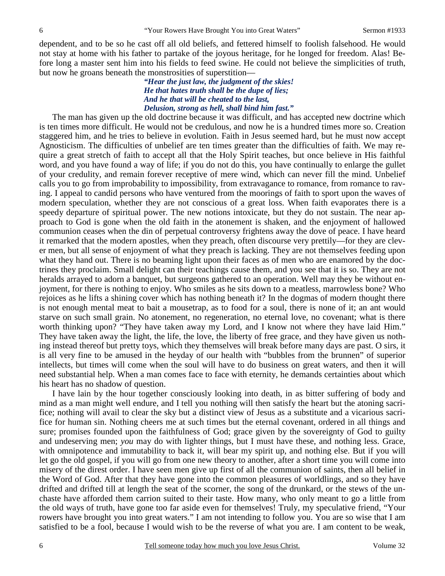dependent, and to be so he cast off all old beliefs, and fettered himself to foolish falsehood. He would not stay at home with his father to partake of the joyous heritage, for he longed for freedom. Alas! Before long a master sent him into his fields to feed swine. He could not believe the simplicities of truth, but now he groans beneath the monstrosities of superstition—

### *"Hear the just law, the judgment of the skies! He that hates truth shall be the dupe of lies; And he that will be cheated to the last, Delusion, strong as hell, shall bind him fast."*

The man has given up the old doctrine because it was difficult, and has accepted new doctrine which is ten times more difficult. He would not be credulous, and now he is a hundred times more so. Creation staggered him, and he tries to believe in evolution. Faith in Jesus seemed hard, but he must now accept Agnosticism. The difficulties of unbelief are ten times greater than the difficulties of faith. We may require a great stretch of faith to accept all that the Holy Spirit teaches, but once believe in His faithful word, and you have found a way of life; if you do not do this, you have continually to enlarge the gullet of your credulity, and remain forever receptive of mere wind, which can never fill the mind. Unbelief calls you to go from improbability to impossibility, from extravagance to romance, from romance to raving. I appeal to candid persons who have ventured from the moorings of faith to sport upon the waves of modern speculation, whether they are not conscious of a great loss. When faith evaporates there is a speedy departure of spiritual power. The new notions intoxicate, but they do not sustain. The near approach to God is gone when the old faith in the atonement is shaken, and the enjoyment of hallowed communion ceases when the din of perpetual controversy frightens away the dove of peace. I have heard it remarked that the modern apostles, when they preach, often discourse very prettily—for they are clever men, but all sense of enjoyment of what they preach is lacking. They are not themselves feeding upon what they hand out. There is no beaming light upon their faces as of men who are enamored by the doctrines they proclaim. Small delight can their teachings cause them, and you see that it is so. They are not heralds arrayed to adorn a banquet, but surgeons gathered to an operation. Well may they be without enjoyment, for there is nothing to enjoy. Who smiles as he sits down to a meatless, marrowless bone? Who rejoices as he lifts a shining cover which has nothing beneath it? In the dogmas of modern thought there is not enough mental meat to bait a mousetrap, as to food for a soul, there is none of it; an ant would starve on such small grain. No atonement, no regeneration, no eternal love, no covenant; what is there worth thinking upon? "They have taken away my Lord, and I know not where they have laid Him." They have taken away the light, the life, the love, the liberty of free grace, and they have given us nothing instead thereof but pretty toys, which they themselves will break before many days are past. O sirs, it is all very fine to be amused in the heyday of our health with "bubbles from the brunnen" of superior intellects, but times will come when the soul will have to do business on great waters, and then it will need substantial help. When a man comes face to face with eternity, he demands certainties about which his heart has no shadow of question.

 I have lain by the hour together consciously looking into death, in as bitter suffering of body and mind as a man might well endure, and I tell you nothing will then satisfy the heart but the atoning sacrifice; nothing will avail to clear the sky but a distinct view of Jesus as a substitute and a vicarious sacrifice for human sin. Nothing cheers me at such times but the eternal covenant, ordered in all things and sure; promises founded upon the faithfulness of God; grace given by the sovereignty of God to guilty and undeserving men; *you* may do with lighter things, but I must have these, and nothing less. Grace, with omnipotence and immutability to back it, will bear my spirit up, and nothing else. But if you will let go the old gospel, if you will go from one new theory to another, after a short time you will come into misery of the direst order. I have seen men give up first of all the communion of saints, then all belief in the Word of God. After that they have gone into the common pleasures of worldlings, and so they have drifted and drifted till at length the seat of the scorner, the song of the drunkard, or the stews of the unchaste have afforded them carrion suited to their taste. How many, who only meant to go a little from the old ways of truth, have gone too far aside even for themselves! Truly, my speculative friend, "Your rowers have brought you into great waters." I am not intending to follow you. You are so wise that I am satisfied to be a fool, because I would wish to be the reverse of what you are. I am content to be weak,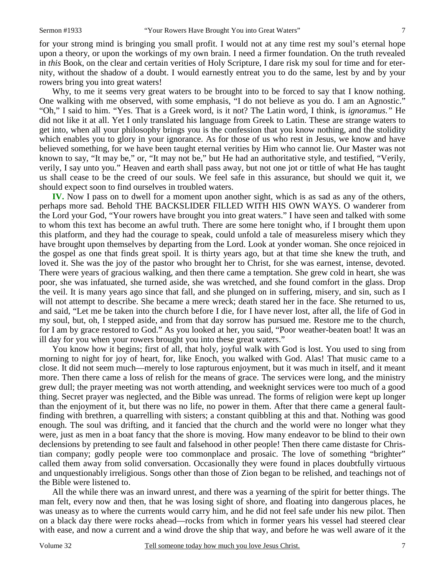for your strong mind is bringing you small profit. I would not at any time rest my soul's eternal hope upon a theory, or upon the workings of my own brain. I need a firmer foundation. On the truth revealed in *this* Book, on the clear and certain verities of Holy Scripture, I dare risk my soul for time and for eternity, without the shadow of a doubt. I would earnestly entreat you to do the same, lest by and by your rowers bring you into great waters!

 Why, to me it seems very great waters to be brought into to be forced to say that I know nothing. One walking with me observed, with some emphasis, "I do not believe as you do. I am an Agnostic." "Oh," I said to him. "Yes. That is a Greek word, is it not? The Latin word, I think, is *ignoramus."* He did not like it at all. Yet I only translated his language from Greek to Latin. These are strange waters to get into, when all your philosophy brings you is the confession that you know nothing, and the stolidity which enables you to glory in your ignorance. As for those of us who rest in Jesus, we know and have believed something, for we have been taught eternal verities by Him who cannot lie. Our Master was not known to say, "It may be," or, "It may not be," but He had an authoritative style, and testified, "Verily, verily, I say unto you." Heaven and earth shall pass away, but not one jot or tittle of what He has taught us shall cease to be the creed of our souls. We feel safe in this assurance, but should we quit it, we should expect soon to find ourselves in troubled waters.

**IV.** Now I pass on to dwell for a moment upon another sight, which is as sad as any of the others, perhaps more sad. Behold THE BACKSLIDER FILLED WITH HIS OWN WAYS. O wanderer from the Lord your God, "Your rowers have brought you into great waters." I have seen and talked with some to whom this text has become an awful truth. There are some here tonight who, if I brought them upon this platform, and they had the courage to speak, could unfold a tale of measureless misery which they have brought upon themselves by departing from the Lord. Look at yonder woman. She once rejoiced in the gospel as one that finds great spoil. It is thirty years ago, but at that time she knew the truth, and loved it. She was the joy of the pastor who brought her to Christ, for she was earnest, intense, devoted. There were years of gracious walking, and then there came a temptation. She grew cold in heart, she was poor, she was infatuated, she turned aside, she was wretched, and she found comfort in the glass. Drop the veil. It is many years ago since that fall, and she plunged on in suffering, misery, and sin, such as I will not attempt to describe. She became a mere wreck; death stared her in the face. She returned to us, and said, "Let me be taken into the church before I die, for I have never lost, after all, the life of God in my soul, but, oh, I stepped aside, and from that day sorrow has pursued me. Restore me to the church, for I am by grace restored to God." As you looked at her, you said, "Poor weather-beaten boat! It was an ill day for you when your rowers brought you into these great waters."

 You know how it begins; first of all, that holy, joyful walk with God is lost. You used to sing from morning to night for joy of heart, for, like Enoch, you walked with God. Alas! That music came to a close. It did not seem much—merely to lose rapturous enjoyment, but it was much in itself, and it meant more. Then there came a loss of relish for the means of grace. The services were long, and the ministry grew dull; the prayer meeting was not worth attending, and weeknight services were too much of a good thing. Secret prayer was neglected, and the Bible was unread. The forms of religion were kept up longer than the enjoyment of it, but there was no life, no power in them. After that there came a general faultfinding with brethren, a quarrelling with sisters; a constant quibbling at this and that. Nothing was good enough. The soul was drifting, and it fancied that the church and the world were no longer what they were, just as men in a boat fancy that the shore is moving. How many endeavor to be blind to their own declensions by pretending to see fault and falsehood in other people! Then there came distaste for Christian company; godly people were too commonplace and prosaic. The love of something "brighter" called them away from solid conversation. Occasionally they were found in places doubtfully virtuous and unquestionably irreligious. Songs other than those of Zion began to be relished, and teachings not of the Bible were listened to.

 All the while there was an inward unrest, and there was a yearning of the spirit for better things. The man felt, every now and then, that he was losing sight of shore, and floating into dangerous places, he was uneasy as to where the currents would carry him, and he did not feel safe under his new pilot. Then on a black day there were rocks ahead—rocks from which in former years his vessel had steered clear with ease, and now a current and a wind drove the ship that way, and before he was well aware of it the